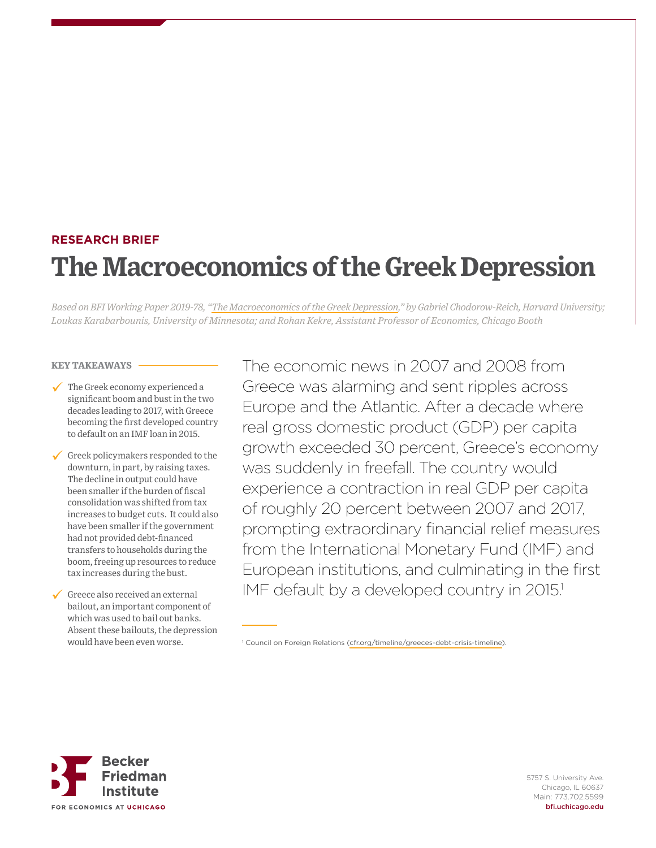# **RESEARCH BRIEF The Macroeconomics of the Greek Depression**

*Based on BFI Working Paper 2019-78, "[The Macroeconomics of the Greek Depression,](https://bfi.uchicago.edu/working-paper/the-macroeconomics-of-the-greek-depression/)" by Gabriel Chodorow-Reich, Harvard University; Loukas Karabarbounis, University of Minnesota; and Rohan Kekre, Assistant Professor of Economics, Chicago Booth*

#### **KEY TAKEAWAYS**

- The Greek economy experienced a significant boom and bust in the two decades leading to 2017, with Greece becoming the first developed country to default on an IMF loan in 2015.
- Greek policymakers responded to the downturn, in part, by raising taxes. The decline in output could have been smaller if the burden of fiscal consolidation was shifted from tax increases to budget cuts. It could also have been smaller if the government had not provided debt-financed transfers to households during the boom, freeing up resources to reduce tax increases during the bust.

Greece also received an external bailout, an important component of which was used to bail out banks. Absent these bailouts, the depression would have been even worse.

The economic news in 2007 and 2008 from Greece was alarming and sent ripples across Europe and the Atlantic. After a decade where real gross domestic product (GDP) per capita growth exceeded 30 percent, Greece's economy was suddenly in freefall. The country would experience a contraction in real GDP per capita of roughly 20 percent between 2007 and 2017, prompting extraordinary financial relief measures from the International Monetary Fund (IMF) and European institutions, and culminating in the first IMF default by a developed country in 2015.<sup>1</sup>



<sup>1</sup> Council on Foreign Relations [\(cfr.org/timeline/greeces-debt-crisis-timeline\)](https://www.cfr.org/timeline/greeces-debt-crisis-timeline).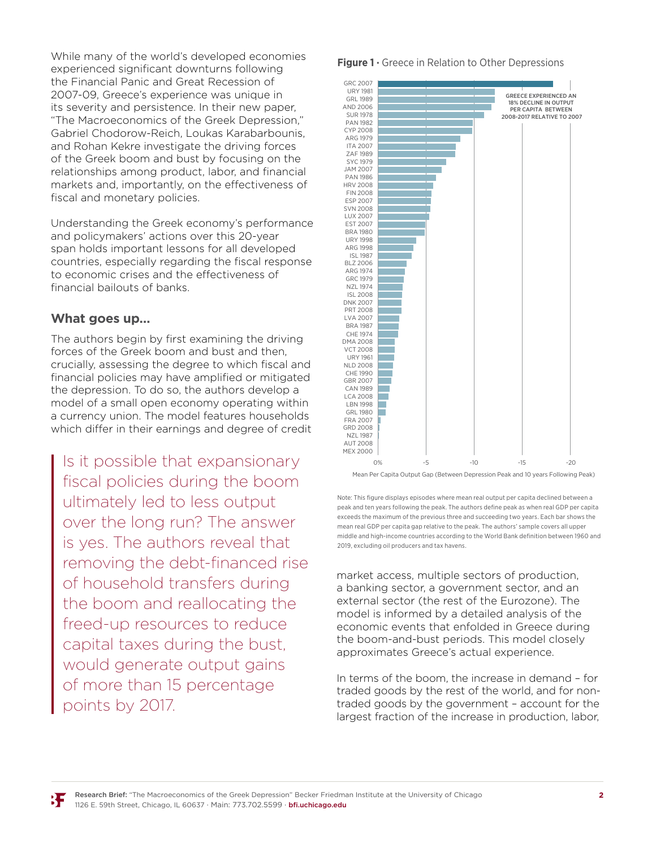While many of the world's developed economies experienced significant downturns following the Financial Panic and Great Recession of 2007-09, Greece's experience was unique in its severity and persistence. In their new paper, "The Macroeconomics of the Greek Depression," Gabriel Chodorow-Reich, Loukas Karabarbounis, and Rohan Kekre investigate the driving forces of the Greek boom and bust by focusing on the relationships among product, labor, and financial markets and, importantly, on the effectiveness of fiscal and monetary policies.

Understanding the Greek economy's performance and policymakers' actions over this 20-year span holds important lessons for all developed countries, especially regarding the fiscal response to economic crises and the effectiveness of financial bailouts of banks.

## **What goes up…**

The authors begin by first examining the driving forces of the Greek boom and bust and then, crucially, assessing the degree to which fiscal and financial policies may have amplified or mitigated the depression. To do so, the authors develop a model of a small open economy operating within a currency union. The model features households which differ in their earnings and degree of credit

Is it possible that expansionary fiscal policies during the boom ultimately led to less output over the long run? The answer is yes. The authors reveal that removing the debt-financed rise of household transfers during the boom and reallocating the freed-up resources to reduce capital taxes during the bust, would generate output gains of more than 15 percentage points by 2017.

#### **Figure 1 ·** Greece in Relation to Other Depressions



Note : This figure displays episodes where mean real output per capita declined between a peak and ten years following the peak. The authors define peak as when real GDP per capita exceeds the maximum of the previous three and succeeding two years. Each bar shows the mean real GDP per capita gap relative to the peak. The authors' sample covers all upper middle and high-income countries according to the World Bank definition between 1960 and 2019, excluding oil producers and tax havens.

market access, multiple sectors of production, a banking sector, a government sector, and an external sector (the rest of the Eurozone). The model is informed by a detailed analysis of the economic events that enfolded in Greece during the boom-and-bust periods. This model closely approximates Greece's actual experience.

In terms of the boom, the increase in demand – for traded goods by the rest of the world, and for nontraded goods by the government – account for the largest fraction of the increase in production, labor,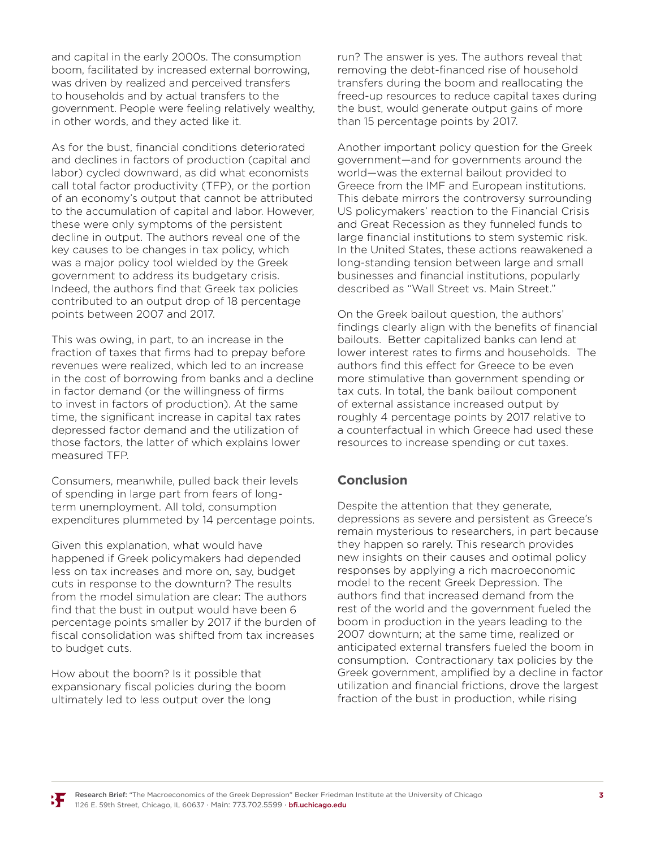and capital in the early 2000s. The consumption boom, facilitated by increased external borrowing, was driven by realized and perceived transfers to households and by actual transfers to the government. People were feeling relatively wealthy, in other words, and they acted like it.

As for the bust, financial conditions deteriorated and declines in factors of production (capital and labor) cycled downward, as did what economists call total factor productivity (TFP), or the portion of an economy's output that cannot be attributed to the accumulation of capital and labor. However, these were only symptoms of the persistent decline in output. The authors reveal one of the key causes to be changes in tax policy, which was a major policy tool wielded by the Greek government to address its budgetary crisis. Indeed, the authors find that Greek tax policies contributed to an output drop of 18 percentage points between 2007 and 2017.

This was owing, in part, to an increase in the fraction of taxes that firms had to prepay before revenues were realized, which led to an increase in the cost of borrowing from banks and a decline in factor demand (or the willingness of firms to invest in factors of production). At the same time, the significant increase in capital tax rates depressed factor demand and the utilization of those factors, the latter of which explains lower measured TFP.

Consumers, meanwhile, pulled back their levels of spending in large part from fears of longterm unemployment. All told, consumption expenditures plummeted by 14 percentage points.

Given this explanation, what would have happened if Greek policymakers had depended less on tax increases and more on, say, budget cuts in response to the downturn? The results from the model simulation are clear: The authors find that the bust in output would have been 6 percentage points smaller by 2017 if the burden of fiscal consolidation was shifted from tax increases to budget cuts.

How about the boom? Is it possible that expansionary fiscal policies during the boom ultimately led to less output over the long

run? The answer is yes. The authors reveal that removing the debt-financed rise of household transfers during the boom and reallocating the freed-up resources to reduce capital taxes during the bust, would generate output gains of more than 15 percentage points by 2017.

Another important policy question for the Greek government—and for governments around the world—was the external bailout provided to Greece from the IMF and European institutions. This debate mirrors the controversy surrounding US policymakers' reaction to the Financial Crisis and Great Recession as they funneled funds to large financial institutions to stem systemic risk. In the United States, these actions reawakened a long-standing tension between large and small businesses and financial institutions, popularly described as "Wall Street vs. Main Street."

On the Greek bailout question, the authors' findings clearly align with the benefits of financial bailouts. Better capitalized banks can lend at lower interest rates to firms and households. The authors find this effect for Greece to be even more stimulative than government spending or tax cuts. In total, the bank bailout component of external assistance increased output by roughly 4 percentage points by 2017 relative to a counterfactual in which Greece had used these resources to increase spending or cut taxes.

## **Conclusion**

Despite the attention that they generate, depressions as severe and persistent as Greece's remain mysterious to researchers, in part because they happen so rarely. This research provides new insights on their causes and optimal policy responses by applying a rich macroeconomic model to the recent Greek Depression. The authors find that increased demand from the rest of the world and the government fueled the boom in production in the years leading to the 2007 downturn; at the same time, realized or anticipated external transfers fueled the boom in consumption. Contractionary tax policies by the Greek government, amplified by a decline in factor utilization and financial frictions, drove the largest fraction of the bust in production, while rising